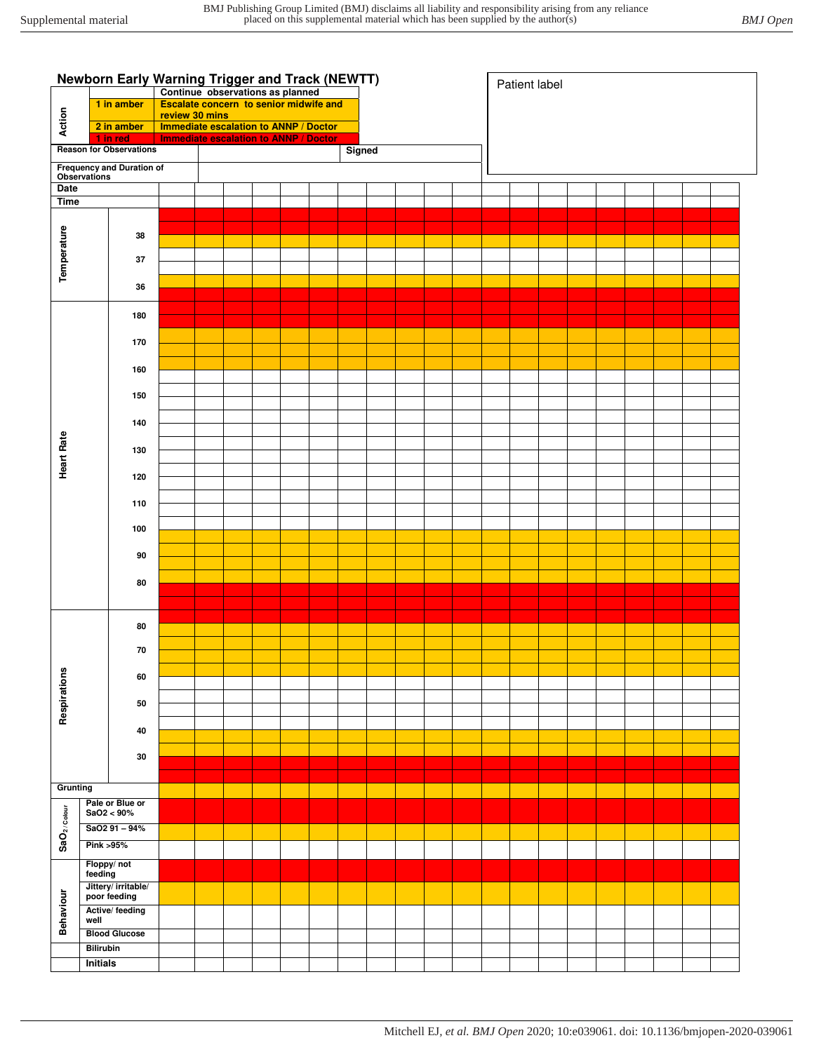